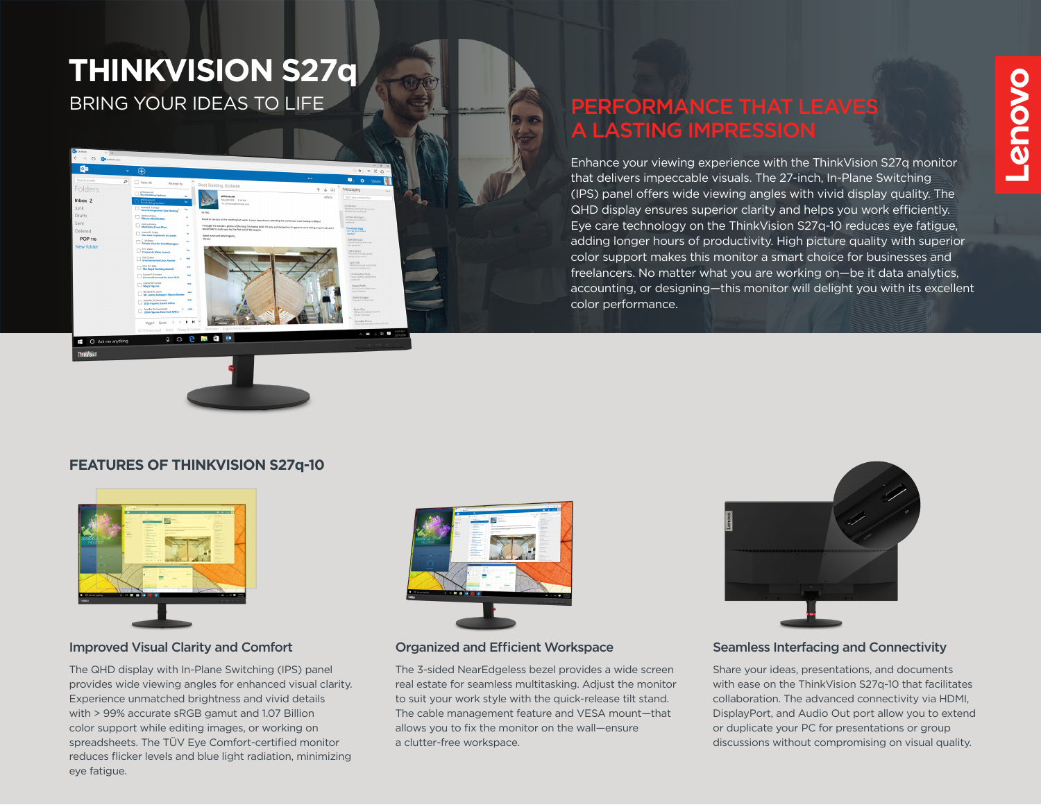## **THINKVISION S27q**

BRING YOUR IDEAS TO LIFE

 $\rightarrow$  0  $\frac{1}{2}$ 

Inbox<sub>2</sub>

POP 116

O Ask me anything

#### PERFORMANCE THAT LEAVES A LASTING IMPRESSION

Enhance your viewing experience with the ThinkVision S27q monitor that delivers impeccable visuals. The 27-inch, In-Plane Switching (IPS) panel offers wide viewing angles with vivid display quality. The QHD display ensures superior clarity and helps you work efficiently. Eye care technology on the ThinkVision S27q-10 reduces eye fatigue, adding longer hours of productivity. High picture quality with superior color support makes this monitor a smart choice for businesses and freelancers. No matter what you are working on—be it data analytics, accounting, or designing—this monitor will delight you with its excellent color performance.

# **Provo**

#### **FEATURES OF THINKVISION S27q-10**

**Contract** 



#### Improved Visual Clarity and Comfort **Company Containst Company** Organized and Efficient Workspace

The QHD display with In-Plane Switching (IPS) panel provides wide viewing angles for enhanced visual clarity. Experience unmatched brightness and vivid details with > 99% accurate sRGB gamut and 1.07 Billion color support while editing images, or working on spreadsheets. The TÜV Eye Comfort-certified monitor reduces flicker levels and blue light radiation, minimizing eye fatigue.



The 3-sided NearEdgeless bezel provides a wide screen real estate for seamless multitasking. Adjust the monitor to suit your work style with the quick-release tilt stand. The cable management feature and VESA mount—that allows you to fix the monitor on the wall—ensure a clutter-free workspace.



#### Seamless Interfacing and Connectivity

Share your ideas, presentations, and documents with ease on the ThinkVision S27q-10 that facilitates collaboration. The advanced connectivity via HDMI, DisplayPort, and Audio Out port allow you to extend or duplicate your PC for presentations or group discussions without compromising on visual quality.